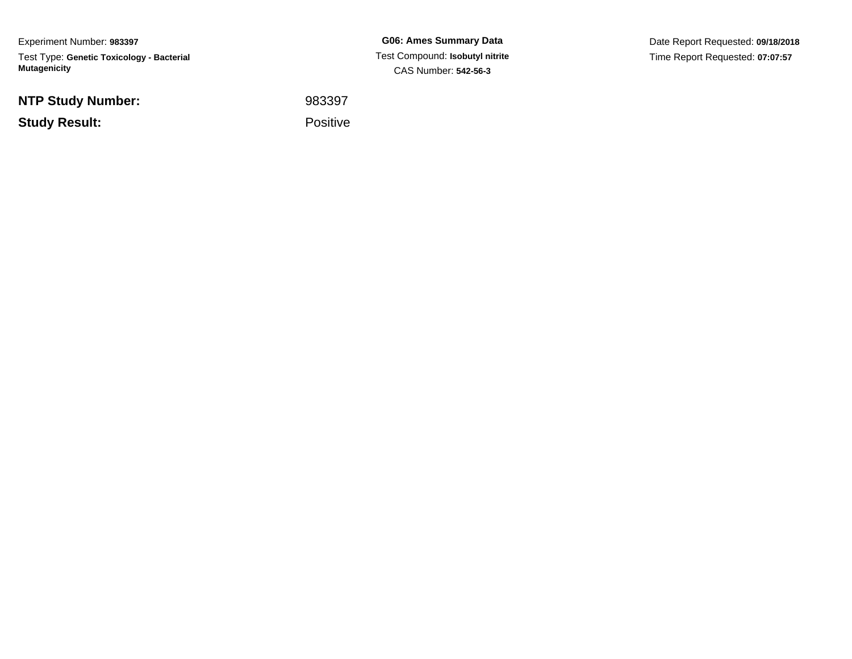Experiment Number: **983397**Test Type: **Genetic Toxicology - Bacterial Mutagenicity**

**NTP Study Number:**

**Study Result:**

**G06: Ames Summary Data** Test Compound: **Isobutyl nitrite**CAS Number: **542-56-3**

Date Report Requested: **09/18/2018**Time Report Requested: **07:07:57**

 <sup>983397</sup>Positive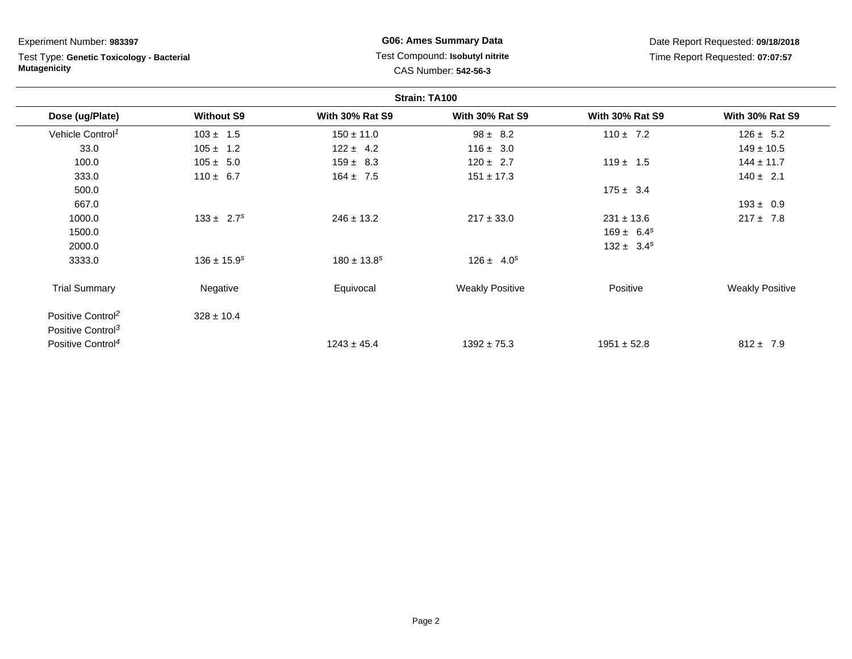Experiment Number: **983397**

Test Type: **Genetic Toxicology - Bacterial Mutagenicity**

## **G06: Ames Summary Data** Test Compound: **Isobutyl nitrite**CAS Number: **542-56-3**

Date Report Requested: **09/18/2018**Time Report Requested: **07:07:57**

| Strain: TA100               |                        |                        |                        |                        |  |
|-----------------------------|------------------------|------------------------|------------------------|------------------------|--|
| <b>Without S9</b>           | <b>With 30% Rat S9</b> | <b>With 30% Rat S9</b> | <b>With 30% Rat S9</b> | <b>With 30% Rat S9</b> |  |
| $103 \pm 1.5$               | $150 \pm 11.0$         | $98 \pm 8.2$           | $110 \pm 7.2$          | $126 \pm 5.2$          |  |
| $105 \pm 1.2$               | $122 \pm 4.2$          | $116 \pm 3.0$          |                        | $149 \pm 10.5$         |  |
| $105 \pm 5.0$               | $159 \pm 8.3$          | $120 \pm 2.7$          | $119 \pm 1.5$          | $144 \pm 11.7$         |  |
| $110 \pm 6.7$               | $164 \pm 7.5$          | $151 \pm 17.3$         |                        | $140 \pm 2.1$          |  |
|                             |                        |                        | $175 \pm 3.4$          |                        |  |
|                             |                        |                        |                        | $193 \pm 0.9$          |  |
| $133 \pm 2.7^s$             | $246 \pm 13.2$         | $217 \pm 33.0$         | $231 \pm 13.6$         | $217 \pm 7.8$          |  |
|                             |                        |                        | $169 \pm 6.4^s$        |                        |  |
|                             |                        |                        | $132 \pm 3.4^s$        |                        |  |
| $136 \pm 15.9$ <sup>s</sup> | $180 \pm 13.8^s$       | $126 \pm 4.0^s$        |                        |                        |  |
| Negative                    | Equivocal              | <b>Weakly Positive</b> | Positive               | <b>Weakly Positive</b> |  |
| $328 \pm 10.4$              |                        |                        |                        |                        |  |
|                             |                        |                        |                        |                        |  |
|                             | $1243 \pm 45.4$        | $1392 \pm 75.3$        | $1951 \pm 52.8$        | $812 \pm 7.9$          |  |
|                             |                        |                        |                        |                        |  |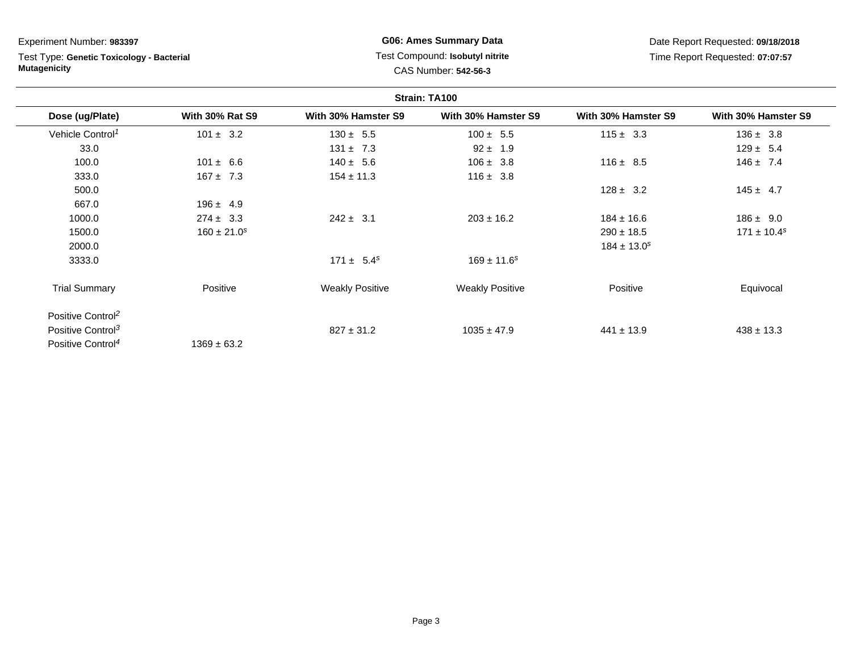Experiment Number: **983397**

Test Type: **Genetic Toxicology - Bacterial Mutagenicity**

## **G06: Ames Summary Data** Test Compound: **Isobutyl nitrite**CAS Number: **542-56-3**

Date Report Requested: **09/18/2018**Time Report Requested: **07:07:57**

| Strain: TA100                 |                        |                        |                        |                     |                     |
|-------------------------------|------------------------|------------------------|------------------------|---------------------|---------------------|
| Dose (ug/Plate)               | <b>With 30% Rat S9</b> | With 30% Hamster S9    | With 30% Hamster S9    | With 30% Hamster S9 | With 30% Hamster S9 |
| Vehicle Control <sup>1</sup>  | $101 \pm 3.2$          | $130 \pm 5.5$          | $100 \pm 5.5$          | $115 \pm 3.3$       | $136 \pm 3.8$       |
| 33.0                          |                        | $131 \pm 7.3$          | $92 \pm 1.9$           |                     | $129 \pm 5.4$       |
| 100.0                         | $101 \pm 6.6$          | $140 \pm 5.6$          | $106 \pm 3.8$          | $116 \pm 8.5$       | $146 \pm 7.4$       |
| 333.0                         | $167 \pm 7.3$          | $154 \pm 11.3$         | $116 \pm 3.8$          |                     |                     |
| 500.0                         |                        |                        |                        | $128 \pm 3.2$       | $145 \pm 4.7$       |
| 667.0                         | $196 \pm 4.9$          |                        |                        |                     |                     |
| 1000.0                        | $274 \pm 3.3$          | $242 \pm 3.1$          | $203 \pm 16.2$         | $184 \pm 16.6$      | $186 \pm 9.0$       |
| 1500.0                        | $160 \pm 21.0^s$       |                        |                        | $290 \pm 18.5$      | $171 \pm 10.4^s$    |
| 2000.0                        |                        |                        |                        | $184 \pm 13.0^s$    |                     |
| 3333.0                        |                        | $171 \pm 5.4^s$        | $169 \pm 11.6^s$       |                     |                     |
| <b>Trial Summary</b>          | Positive               | <b>Weakly Positive</b> | <b>Weakly Positive</b> | Positive            | Equivocal           |
| Positive Control <sup>2</sup> |                        |                        |                        |                     |                     |
| Positive Control <sup>3</sup> |                        | $827 \pm 31.2$         | $1035 \pm 47.9$        | $441 \pm 13.9$      | $438 \pm 13.3$      |
| Positive Control <sup>4</sup> | $1369 \pm 63.2$        |                        |                        |                     |                     |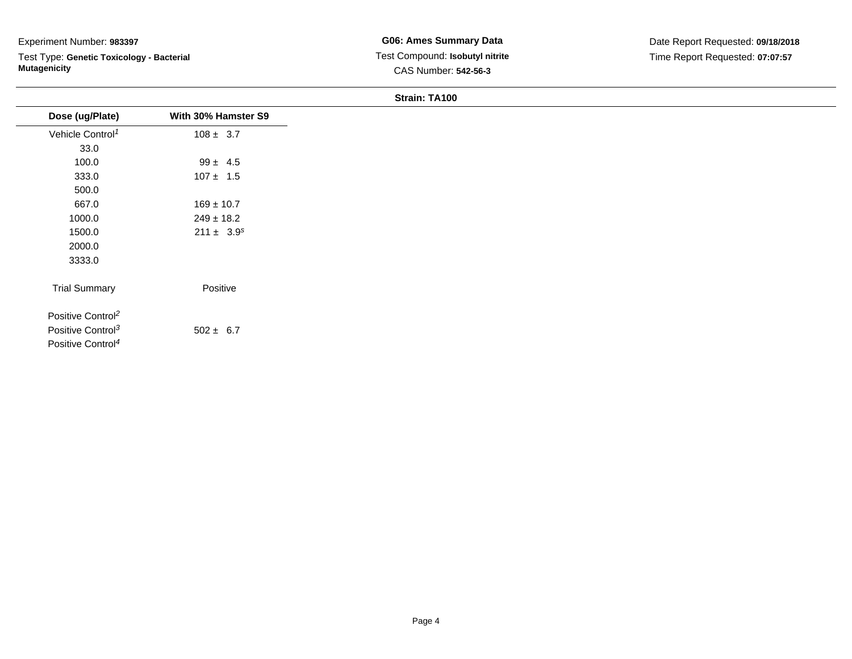### Experiment Number: **983397**

Test Type: **Genetic Toxicology - Bacterial Mutagenicity**

#### **Strain: TA100**

| Dose (ug/Plate)               | With 30% Hamster S9 |  |
|-------------------------------|---------------------|--|
| Vehicle Control <sup>1</sup>  | $108 \pm 3.7$       |  |
| 33.0                          |                     |  |
| 100.0                         | $99 \pm 4.5$        |  |
| 333.0                         | $107 \pm 1.5$       |  |
| 500.0                         |                     |  |
| 667.0                         | $169 \pm 10.7$      |  |
| 1000.0                        | $249 \pm 18.2$      |  |
| 1500.0                        | $211 \pm 3.9^s$     |  |
| 2000.0                        |                     |  |
| 3333.0                        |                     |  |
| <b>Trial Summary</b>          | Positive            |  |
| Positive Control <sup>2</sup> |                     |  |
| Positive Control <sup>3</sup> | $502 \pm 6.7$       |  |
| Positive Control <sup>4</sup> |                     |  |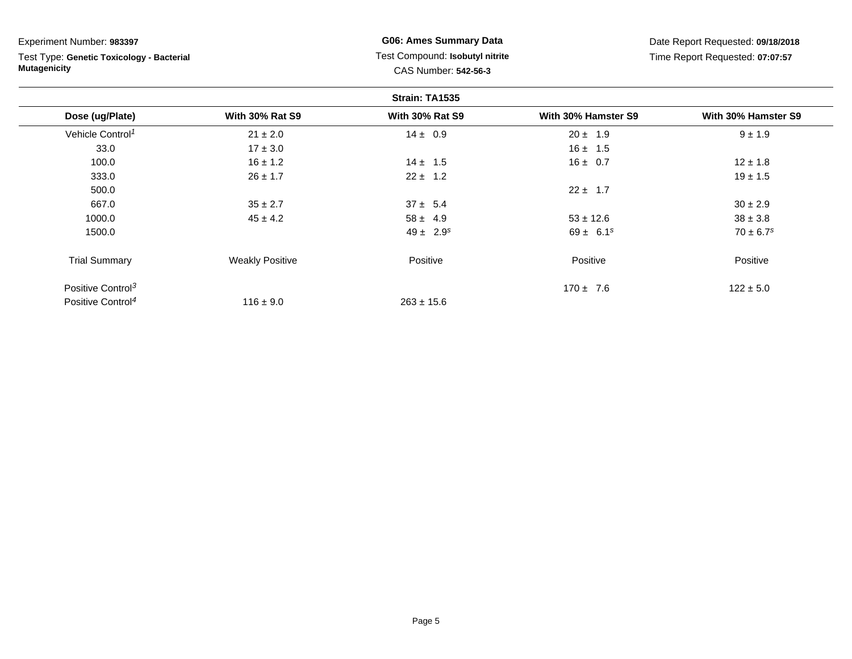| Experiment Number: 983397<br>Test Type: Genetic Toxicology - Bacterial<br><b>Mutagenicity</b> |                        | <b>G06: Ames Summary Data</b><br>Test Compound: Isobutyl nitrite<br>CAS Number: 542-56-3 |                     | Date Report Requested: 09/18/2018<br>Time Report Requested: 07:07:57 |  |
|-----------------------------------------------------------------------------------------------|------------------------|------------------------------------------------------------------------------------------|---------------------|----------------------------------------------------------------------|--|
|                                                                                               |                        |                                                                                          |                     |                                                                      |  |
| Dose (ug/Plate)                                                                               | <b>With 30% Rat S9</b> | <b>With 30% Rat S9</b>                                                                   | With 30% Hamster S9 | With 30% Hamster S9                                                  |  |
| Vehicle Control <sup>1</sup>                                                                  | $21 \pm 2.0$           | $14 \pm 0.9$                                                                             | $20 \pm 1.9$        | $9 \pm 1.9$                                                          |  |
| 33.0                                                                                          | $17 \pm 3.0$           |                                                                                          | $16 \pm 1.5$        |                                                                      |  |
| 100.0                                                                                         | $16 \pm 1.2$           | $14 \pm 1.5$                                                                             | $16 \pm 0.7$        | $12 \pm 1.8$                                                         |  |
| 333.0                                                                                         | $26 \pm 1.7$           | $22 \pm 1.2$                                                                             |                     | $19 \pm 1.5$                                                         |  |
| 500.0                                                                                         |                        |                                                                                          | $22 \pm 1.7$        |                                                                      |  |
| 667.0                                                                                         | $35 \pm 2.7$           | $37 \pm 5.4$                                                                             |                     | $30 \pm 2.9$                                                         |  |
| 1000.0                                                                                        | $45 \pm 4.2$           | $58 \pm 4.9$                                                                             | $53 \pm 12.6$       | $38 \pm 3.8$                                                         |  |
| 1500.0                                                                                        |                        | $49 \pm 2.9^{s}$                                                                         | $69 \pm 6.1^s$      | $70 \pm 6.7$ <sup>s</sup>                                            |  |
| <b>Trial Summary</b>                                                                          | <b>Weakly Positive</b> | Positive                                                                                 | Positive            | Positive                                                             |  |
| Positive Control <sup>3</sup>                                                                 |                        |                                                                                          | $170 \pm 7.6$       | $122 \pm 5.0$                                                        |  |
| Positive Control <sup>4</sup>                                                                 | $116 \pm 9.0$          | $263 \pm 15.6$                                                                           |                     |                                                                      |  |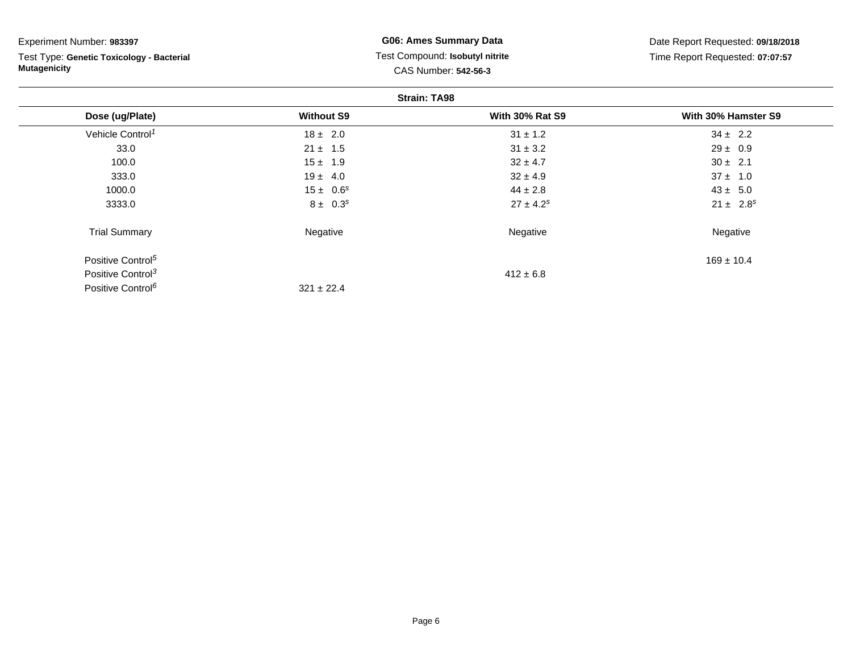| Experiment Number: 983397                 | <b>G06: Ames Summary Data</b>   |                        | Date Report Requested: 09/18/2018<br>Time Report Requested: 07:07:57 |  |
|-------------------------------------------|---------------------------------|------------------------|----------------------------------------------------------------------|--|
| Test Type: Genetic Toxicology - Bacterial | Test Compound: Isobutyl nitrite |                        |                                                                      |  |
| <b>Mutagenicity</b>                       |                                 | CAS Number: 542-56-3   |                                                                      |  |
|                                           |                                 | <b>Strain: TA98</b>    |                                                                      |  |
| Dose (ug/Plate)                           | <b>Without S9</b>               | <b>With 30% Rat S9</b> | With 30% Hamster S9                                                  |  |
| Vehicle Control <sup>1</sup>              | $18 \pm 2.0$                    | $31 \pm 1.2$           | $34 \pm 2.2$                                                         |  |
| 33.0                                      | $21 \pm 1.5$                    | $31 \pm 3.2$           | $29 \pm 0.9$                                                         |  |
| 100.0                                     | $15 \pm 1.9$                    | $32 \pm 4.7$           | $30 \pm 2.1$                                                         |  |
| 333.0                                     | $19 \pm 4.0$                    | $32 \pm 4.9$           | $37 \pm 1.0$                                                         |  |
| 1000.0                                    | $15 \pm 0.6^s$                  | $44 \pm 2.8$           | $43 \pm 5.0$                                                         |  |
| 3333.0                                    | $8 \pm 0.3^s$                   | $27 \pm 4.2^s$         | $21 \pm 2.8^s$                                                       |  |
| <b>Trial Summary</b>                      | Negative                        | Negative               | Negative                                                             |  |
| Positive Control <sup>5</sup>             |                                 |                        | $169 \pm 10.4$                                                       |  |
| Positive Control <sup>3</sup>             |                                 | $412 \pm 6.8$          |                                                                      |  |
| Positive Control <sup>6</sup>             | $321 \pm 22.4$                  |                        |                                                                      |  |

Page 6